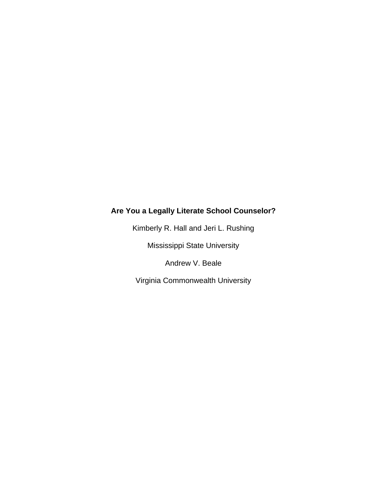# **Are You a Legally Literate School Counselor?**

Kimberly R. Hall and Jeri L. Rushing

Mississippi State University

Andrew V. Beale

Virginia Commonwealth University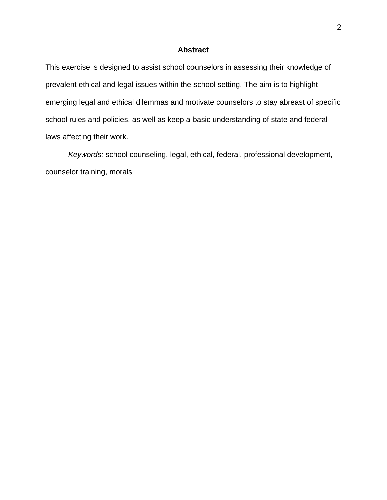# **Abstract**

This exercise is designed to assist school counselors in assessing their knowledge of prevalent ethical and legal issues within the school setting. The aim is to highlight emerging legal and ethical dilemmas and motivate counselors to stay abreast of specific school rules and policies, as well as keep a basic understanding of state and federal laws affecting their work.

*Keywords:* school counseling, legal, ethical, federal, professional development, counselor training, morals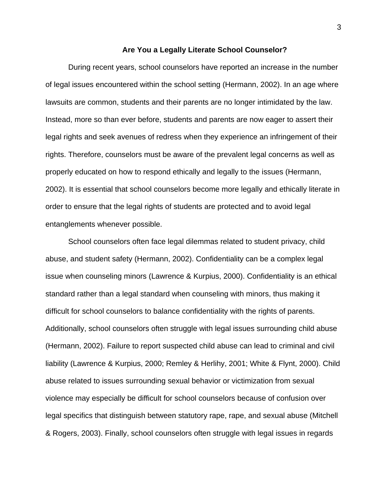#### **Are You a Legally Literate School Counselor?**

During recent years, school counselors have reported an increase in the number of legal issues encountered within the school setting (Hermann, 2002). In an age where lawsuits are common, students and their parents are no longer intimidated by the law. Instead, more so than ever before, students and parents are now eager to assert their legal rights and seek avenues of redress when they experience an infringement of their rights. Therefore, counselors must be aware of the prevalent legal concerns as well as properly educated on how to respond ethically and legally to the issues (Hermann, 2002). It is essential that school counselors become more legally and ethically literate in order to ensure that the legal rights of students are protected and to avoid legal entanglements whenever possible.

School counselors often face legal dilemmas related to student privacy, child abuse, and student safety (Hermann, 2002). Confidentiality can be a complex legal issue when counseling minors (Lawrence & Kurpius, 2000). Confidentiality is an ethical standard rather than a legal standard when counseling with minors, thus making it difficult for school counselors to balance confidentiality with the rights of parents. Additionally, school counselors often struggle with legal issues surrounding child abuse (Hermann, 2002). Failure to report suspected child abuse can lead to criminal and civil liability (Lawrence & Kurpius, 2000; Remley & Herlihy, 2001; White & Flynt, 2000). Child abuse related to issues surrounding sexual behavior or victimization from sexual violence may especially be difficult for school counselors because of confusion over legal specifics that distinguish between statutory rape, rape, and sexual abuse (Mitchell & Rogers, 2003). Finally, school counselors often struggle with legal issues in regards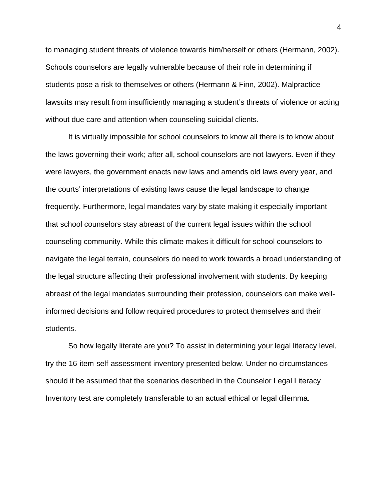to managing student threats of violence towards him/herself or others (Hermann, 2002). Schools counselors are legally vulnerable because of their role in determining if students pose a risk to themselves or others (Hermann & Finn, 2002). Malpractice lawsuits may result from insufficiently managing a student's threats of violence or acting without due care and attention when counseling suicidal clients.

It is virtually impossible for school counselors to know all there is to know about the laws governing their work; after all, school counselors are not lawyers. Even if they were lawyers, the government enacts new laws and amends old laws every year, and the courts' interpretations of existing laws cause the legal landscape to change frequently. Furthermore, legal mandates vary by state making it especially important that school counselors stay abreast of the current legal issues within the school counseling community. While this climate makes it difficult for school counselors to navigate the legal terrain, counselors do need to work towards a broad understanding of the legal structure affecting their professional involvement with students. By keeping abreast of the legal mandates surrounding their profession, counselors can make wellinformed decisions and follow required procedures to protect themselves and their students.

So how legally literate are you? To assist in determining your legal literacy level, try the 16-item-self-assessment inventory presented below. Under no circumstances should it be assumed that the scenarios described in the Counselor Legal Literacy Inventory test are completely transferable to an actual ethical or legal dilemma.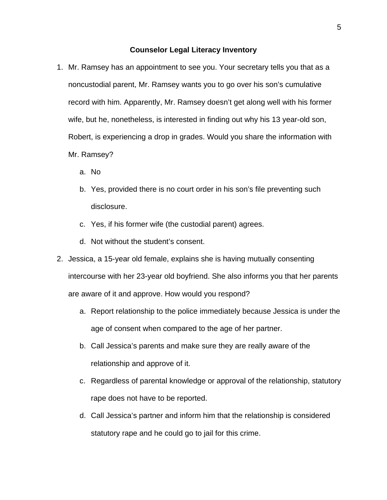## **Counselor Legal Literacy Inventory**

- 1. Mr. Ramsey has an appointment to see you. Your secretary tells you that as a noncustodial parent, Mr. Ramsey wants you to go over his son's cumulative record with him. Apparently, Mr. Ramsey doesn't get along well with his former wife, but he, nonetheless, is interested in finding out why his 13 year-old son, Robert, is experiencing a drop in grades. Would you share the information with Mr. Ramsey?
	- a. No
	- b. Yes, provided there is no court order in his son's file preventing such disclosure.
	- c. Yes, if his former wife (the custodial parent) agrees.
	- d. Not without the student's consent.
- 2. Jessica, a 15-year old female, explains she is having mutually consenting intercourse with her 23-year old boyfriend. She also informs you that her parents are aware of it and approve. How would you respond?
	- a. Report relationship to the police immediately because Jessica is under the age of consent when compared to the age of her partner.
	- b. Call Jessica's parents and make sure they are really aware of the relationship and approve of it.
	- c. Regardless of parental knowledge or approval of the relationship, statutory rape does not have to be reported.
	- d. Call Jessica's partner and inform him that the relationship is considered statutory rape and he could go to jail for this crime.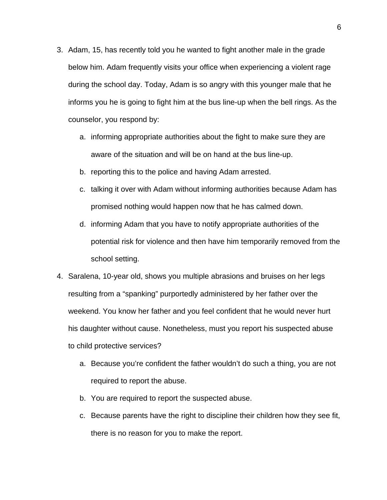- 3. Adam, 15, has recently told you he wanted to fight another male in the grade below him. Adam frequently visits your office when experiencing a violent rage during the school day. Today, Adam is so angry with this younger male that he informs you he is going to fight him at the bus line-up when the bell rings. As the counselor, you respond by:
	- a. informing appropriate authorities about the fight to make sure they are aware of the situation and will be on hand at the bus line-up.
	- b. reporting this to the police and having Adam arrested.
	- c. talking it over with Adam without informing authorities because Adam has promised nothing would happen now that he has calmed down.
	- d. informing Adam that you have to notify appropriate authorities of the potential risk for violence and then have him temporarily removed from the school setting.
- 4. Saralena, 10-year old, shows you multiple abrasions and bruises on her legs resulting from a "spanking" purportedly administered by her father over the weekend. You know her father and you feel confident that he would never hurt his daughter without cause. Nonetheless, must you report his suspected abuse to child protective services?
	- a. Because you're confident the father wouldn't do such a thing, you are not required to report the abuse.
	- b. You are required to report the suspected abuse.
	- c. Because parents have the right to discipline their children how they see fit, there is no reason for you to make the report.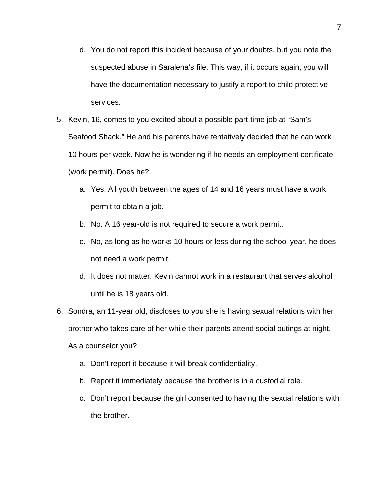- d. You do not report this incident because of your doubts, but you note the suspected abuse in Saralena's file. This way, if it occurs again, you will have the documentation necessary to justify a report to child protective services.
- 5. Kevin, 16, comes to you excited about a possible part-time job at "Sam's Seafood Shack." He and his parents have tentatively decided that he can work 10 hours per week. Now he is wondering if he needs an employment certificate (work permit). Does he?
	- a. Yes. All youth between the ages of 14 and 16 years must have a work permit to obtain a job.
	- b. No. A 16 year-old is not required to secure a work permit.
	- c. No, as long as he works 10 hours or less during the school year, he does not need a work permit.
	- d. It does not matter. Kevin cannot work in a restaurant that serves alcohol until he is 18 years old.
- 6. Sondra, an 11-year old, discloses to you she is having sexual relations with her brother who takes care of her while their parents attend social outings at night.

As a counselor you?

- a. Don't report it because it will break confidentiality.
- b. Report it immediately because the brother is in a custodial role.
- c. Don't report because the girl consented to having the sexual relations with the brother.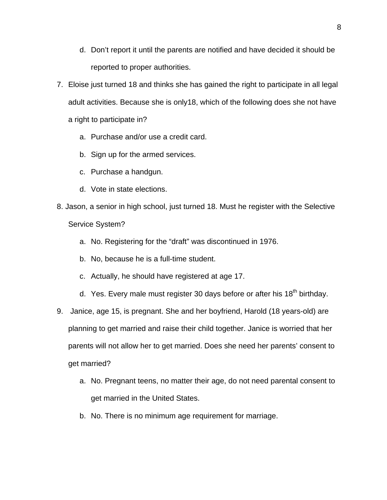- d. Don't report it until the parents are notified and have decided it should be reported to proper authorities.
- 7. Eloise just turned 18 and thinks she has gained the right to participate in all legal adult activities. Because she is only18, which of the following does she not have a right to participate in?
	- a. Purchase and/or use a credit card.
	- b. Sign up for the armed services.
	- c. Purchase a handgun.
	- d. Vote in state elections.
- 8. Jason, a senior in high school, just turned 18. Must he register with the Selective Service System?
	- a. No. Registering for the "draft" was discontinued in 1976.
	- b. No, because he is a full-time student.
	- c. Actually, he should have registered at age 17.
	- d. Yes. Every male must register 30 days before or after his  $18<sup>th</sup>$  birthday.
- 9. Janice, age 15, is pregnant. She and her boyfriend, Harold (18 years-old) are planning to get married and raise their child together. Janice is worried that her parents will not allow her to get married. Does she need her parents' consent to get married?
	- a. No. Pregnant teens, no matter their age, do not need parental consent to get married in the United States.
	- b. No. There is no minimum age requirement for marriage.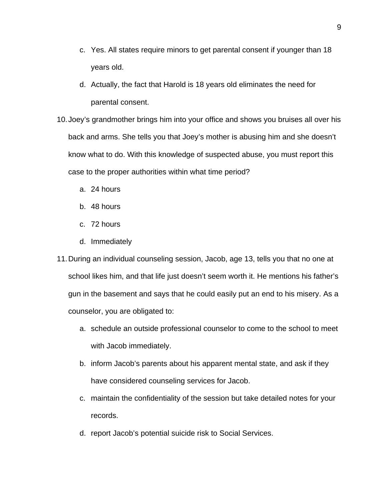- c. Yes. All states require minors to get parental consent if younger than 18 years old.
- d. Actually, the fact that Harold is 18 years old eliminates the need for parental consent.
- 10. Joey's grandmother brings him into your office and shows you bruises all over his back and arms. She tells you that Joey's mother is abusing him and she doesn't know what to do. With this knowledge of suspected abuse, you must report this case to the proper authorities within what time period?
	- a. 24 hours
	- b. 48 hours
	- c. 72 hours
	- d. Immediately
- 11. During an individual counseling session, Jacob, age 13, tells you that no one at school likes him, and that life just doesn't seem worth it. He mentions his father's gun in the basement and says that he could easily put an end to his misery. As a counselor, you are obligated to:
	- a. schedule an outside professional counselor to come to the school to meet with Jacob immediately.
	- b. inform Jacob's parents about his apparent mental state, and ask if they have considered counseling services for Jacob.
	- c. maintain the confidentiality of the session but take detailed notes for your records.
	- d. report Jacob's potential suicide risk to Social Services.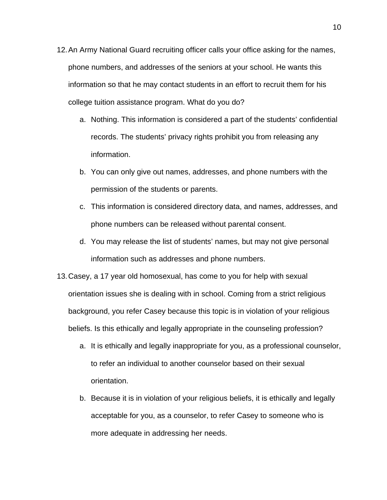- 12. An Army National Guard recruiting officer calls your office asking for the names, phone numbers, and addresses of the seniors at your school. He wants this information so that he may contact students in an effort to recruit them for his college tuition assistance program. What do you do?
	- a. Nothing. This information is considered a part of the students' confidential records. The students' privacy rights prohibit you from releasing any information.
	- b. You can only give out names, addresses, and phone numbers with the permission of the students or parents.
	- c. This information is considered directory data, and names, addresses, and phone numbers can be released without parental consent.
	- d. You may release the list of students' names, but may not give personal information such as addresses and phone numbers.
- 13. Casey, a 17 year old homosexual, has come to you for help with sexual orientation issues she is dealing with in school. Coming from a strict religious background, you refer Casey because this topic is in violation of your religious beliefs. Is this ethically and legally appropriate in the counseling profession?
	- a. It is ethically and legally inappropriate for you, as a professional counselor, to refer an individual to another counselor based on their sexual orientation.
	- b. Because it is in violation of your religious beliefs, it is ethically and legally acceptable for you, as a counselor, to refer Casey to someone who is more adequate in addressing her needs.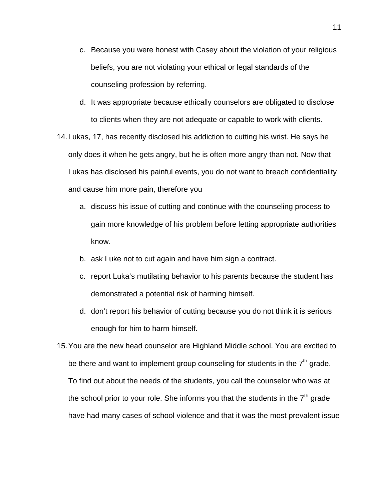- c. Because you were honest with Casey about the violation of your religious beliefs, you are not violating your ethical or legal standards of the counseling profession by referring.
- d. It was appropriate because ethically counselors are obligated to disclose to clients when they are not adequate or capable to work with clients.
- 14. Lukas, 17, has recently disclosed his addiction to cutting his wrist. He says he only does it when he gets angry, but he is often more angry than not. Now that Lukas has disclosed his painful events, you do not want to breach confidentiality and cause him more pain, therefore you
	- a. discuss his issue of cutting and continue with the counseling process to gain more knowledge of his problem before letting appropriate authorities know.
	- b. ask Luke not to cut again and have him sign a contract.
	- c. report Luka's mutilating behavior to his parents because the student has demonstrated a potential risk of harming himself.
	- d. don't report his behavior of cutting because you do not think it is serious enough for him to harm himself.
- 15. You are the new head counselor are Highland Middle school. You are excited to be there and want to implement group counseling for students in the  $7<sup>th</sup>$  grade. To find out about the needs of the students, you call the counselor who was at the school prior to your role. She informs you that the students in the  $7<sup>th</sup>$  grade have had many cases of school violence and that it was the most prevalent issue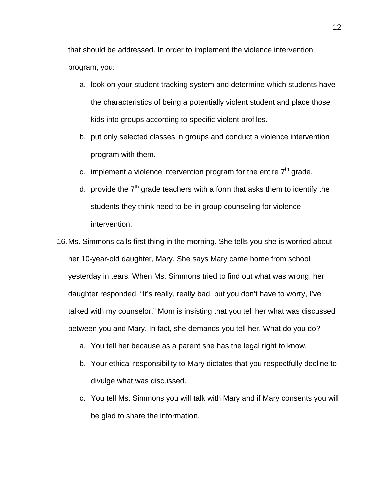that should be addressed. In order to implement the violence intervention program, you:

- a. look on your student tracking system and determine which students have the characteristics of being a potentially violent student and place those kids into groups according to specific violent profiles.
- b. put only selected classes in groups and conduct a violence intervention program with them.
- c. implement a violence intervention program for the entire  $7<sup>th</sup>$  grade.
- d. provide the  $7<sup>th</sup>$  grade teachers with a form that asks them to identify the students they think need to be in group counseling for violence intervention.
- 16. Ms. Simmons calls first thing in the morning. She tells you she is worried about her 10-year-old daughter, Mary. She says Mary came home from school yesterday in tears. When Ms. Simmons tried to find out what was wrong, her daughter responded, "It's really, really bad, but you don't have to worry, I've talked with my counselor." Mom is insisting that you tell her what was discussed between you and Mary. In fact, she demands you tell her. What do you do?
	- a. You tell her because as a parent she has the legal right to know.
	- b. Your ethical responsibility to Mary dictates that you respectfully decline to divulge what was discussed.
	- c. You tell Ms. Simmons you will talk with Mary and if Mary consents you will be glad to share the information.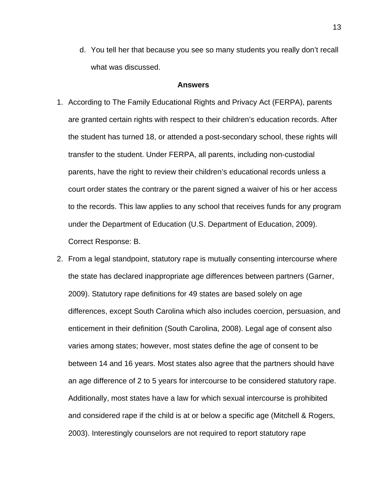d. You tell her that because you see so many students you really don't recall what was discussed.

## **Answers**

- 1. According to The Family Educational Rights and Privacy Act (FERPA), parents are granted certain rights with respect to their children's education records. After the student has turned 18, or attended a post-secondary school, these rights will transfer to the student. Under FERPA, all parents, including non-custodial parents, have the right to review their children's educational records unless a court order states the contrary or the parent signed a waiver of his or her access to the records. This law applies to any school that receives funds for any program under the Department of Education (U.S. Department of Education, 2009). Correct Response: B.
- 2. From a legal standpoint, statutory rape is mutually consenting intercourse where the state has declared inappropriate age differences between partners (Garner, 2009). Statutory rape definitions for 49 states are based solely on age differences, except South Carolina which also includes coercion, persuasion, and enticement in their definition (South Carolina, 2008). Legal age of consent also varies among states; however, most states define the age of consent to be between 14 and 16 years. Most states also agree that the partners should have an age difference of 2 to 5 years for intercourse to be considered statutory rape. Additionally, most states have a law for which sexual intercourse is prohibited and considered rape if the child is at or below a specific age (Mitchell & Rogers, 2003). Interestingly counselors are not required to report statutory rape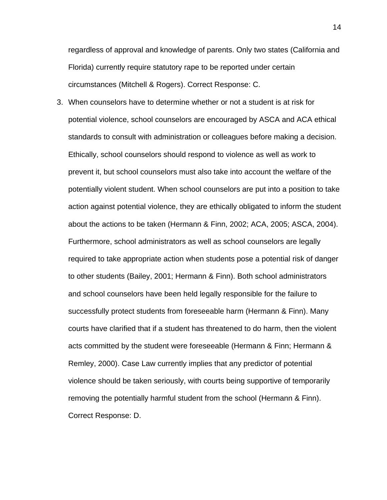regardless of approval and knowledge of parents. Only two states (California and Florida) currently require statutory rape to be reported under certain circumstances (Mitchell & Rogers). Correct Response: C.

3. When counselors have to determine whether or not a student is at risk for potential violence, school counselors are encouraged by ASCA and ACA ethical standards to consult with administration or colleagues before making a decision. Ethically, school counselors should respond to violence as well as work to prevent it, but school counselors must also take into account the welfare of the potentially violent student. When school counselors are put into a position to take action against potential violence, they are ethically obligated to inform the student about the actions to be taken (Hermann & Finn, 2002; ACA, 2005; ASCA, 2004). Furthermore, school administrators as well as school counselors are legally required to take appropriate action when students pose a potential risk of danger to other students (Bailey, 2001; Hermann & Finn). Both school administrators and school counselors have been held legally responsible for the failure to successfully protect students from foreseeable harm (Hermann & Finn). Many courts have clarified that if a student has threatened to do harm, then the violent acts committed by the student were foreseeable (Hermann & Finn; Hermann & Remley, 2000). Case Law currently implies that any predictor of potential violence should be taken seriously, with courts being supportive of temporarily removing the potentially harmful student from the school (Hermann & Finn). Correct Response: D.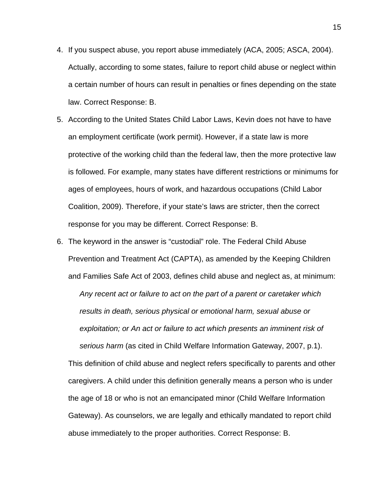- 4. If you suspect abuse, you report abuse immediately (ACA, 2005; ASCA, 2004). Actually, according to some states, failure to report child abuse or neglect within a certain number of hours can result in penalties or fines depending on the state law. Correct Response: B.
- 5. According to the United States Child Labor Laws, Kevin does not have to have an employment certificate (work permit). However, if a state law is more protective of the working child than the federal law, then the more protective law is followed. For example, many states have different restrictions or minimums for ages of employees, hours of work, and hazardous occupations (Child Labor Coalition, 2009). Therefore, if your state's laws are stricter, then the correct response for you may be different. Correct Response: B.
- 6. The keyword in the answer is "custodial" role. The Federal Child Abuse Prevention and Treatment Act (CAPTA), as amended by the Keeping Children and Families Safe Act of 2003, defines child abuse and neglect as, at minimum: *Any recent act or failure to act on the part of a parent or caretaker which results in death, serious physical or emotional harm, sexual abuse or exploitation; or An act or failure to act which presents an imminent risk of serious harm* (as cited in Child Welfare Information Gateway, 2007, p.1). This definition of child abuse and neglect refers specifically to parents and other caregivers. A child under this definition generally means a person who is under the age of 18 or who is not an emancipated minor (Child Welfare Information Gateway). As counselors, we are legally and ethically mandated to report child abuse immediately to the proper authorities. Correct Response: B.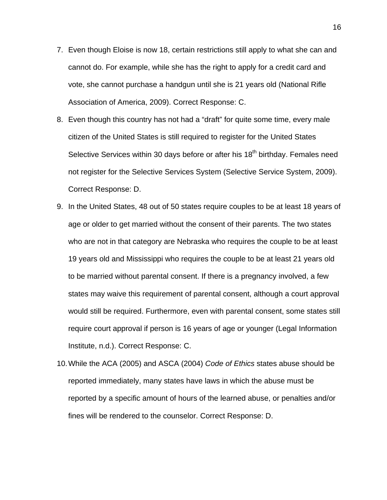- 7. Even though Eloise is now 18, certain restrictions still apply to what she can and cannot do. For example, while she has the right to apply for a credit card and vote, she cannot purchase a handgun until she is 21 years old (National Rifle Association of America, 2009). Correct Response: C.
- 8. Even though this country has not had a "draft" for quite some time, every male citizen of the United States is still required to register for the United States Selective Services within 30 days before or after his 18<sup>th</sup> birthday. Females need not register for the Selective Services System (Selective Service System, 2009). Correct Response: D.
- 9. In the United States, 48 out of 50 states require couples to be at least 18 years of age or older to get married without the consent of their parents. The two states who are not in that category are Nebraska who requires the couple to be at least 19 years old and Mississippi who requires the couple to be at least 21 years old to be married without parental consent. If there is a pregnancy involved, a few states may waive this requirement of parental consent, although a court approval would still be required. Furthermore, even with parental consent, some states still require court approval if person is 16 years of age or younger (Legal Information Institute, n.d.). Correct Response: C.
- 10. While the ACA (2005) and ASCA (2004) *Code of Ethics* states abuse should be reported immediately, many states have laws in which the abuse must be reported by a specific amount of hours of the learned abuse, or penalties and/or fines will be rendered to the counselor. Correct Response: D.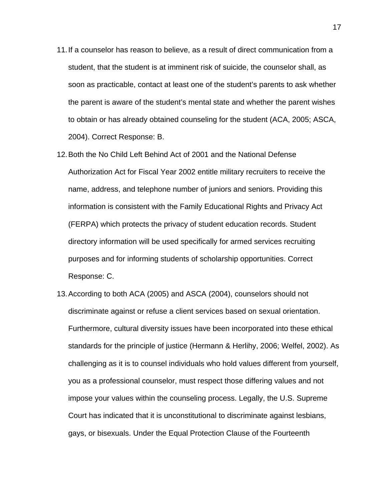- 11. If a counselor has reason to believe, as a result of direct communication from a student, that the student is at imminent risk of suicide, the counselor shall, as soon as practicable, contact at least one of the student's parents to ask whether the parent is aware of the student's mental state and whether the parent wishes to obtain or has already obtained counseling for the student (ACA, 2005; ASCA, 2004). Correct Response: B.
- 12. Both the No Child Left Behind Act of 2001 and the National Defense Authorization Act for Fiscal Year 2002 entitle military recruiters to receive the name, address, and telephone number of juniors and seniors. Providing this information is consistent with the Family Educational Rights and Privacy Act (FERPA) which protects the privacy of student education records. Student directory information will be used specifically for armed services recruiting purposes and for informing students of scholarship opportunities. Correct Response: C.
- 13. According to both ACA (2005) and ASCA (2004), counselors should not discriminate against or refuse a client services based on sexual orientation. Furthermore, cultural diversity issues have been incorporated into these ethical standards for the principle of justice (Hermann & Herlihy, 2006; Welfel, 2002). As challenging as it is to counsel individuals who hold values different from yourself, you as a professional counselor, must respect those differing values and not impose your values within the counseling process. Legally, the U.S. Supreme Court has indicated that it is unconstitutional to discriminate against lesbians, gays, or bisexuals. Under the Equal Protection Clause of the Fourteenth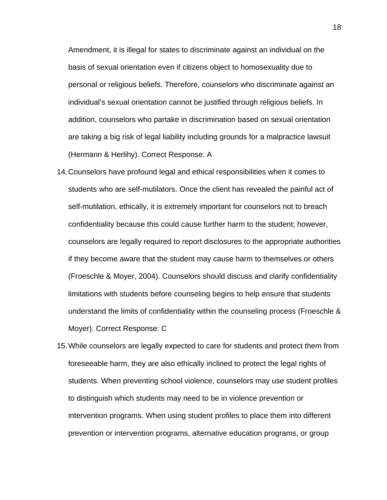Amendment, it is illegal for states to discriminate against an individual on the basis of sexual orientation even if citizens object to homosexuality due to personal or religious beliefs. Therefore, counselors who discriminate against an individual's sexual orientation cannot be justified through religious beliefs. In addition, counselors who partake in discrimination based on sexual orientation are taking a big risk of legal liability including grounds for a malpractice lawsuit (Hermann & Herlihy). Correct Response: A

- 14. Counselors have profound legal and ethical responsibilities when it comes to students who are self-mutilators. Once the client has revealed the painful act of self-mutilation, ethically, it is extremely important for counselors not to breach confidentiality because this could cause further harm to the student; however, counselors are legally required to report disclosures to the appropriate authorities if they become aware that the student may cause harm to themselves or others (Froeschle & Moyer, 2004). Counselors should discuss and clarify confidentiality limitations with students before counseling begins to help ensure that students understand the limits of confidentiality within the counseling process (Froeschle & Moyer). Correct Response: C
- 15. While counselors are legally expected to care for students and protect them from foreseeable harm, they are also ethically inclined to protect the legal rights of students. When preventing school violence, counselors may use student profiles to distinguish which students may need to be in violence prevention or intervention programs. When using student profiles to place them into different prevention or intervention programs, alternative education programs, or group

18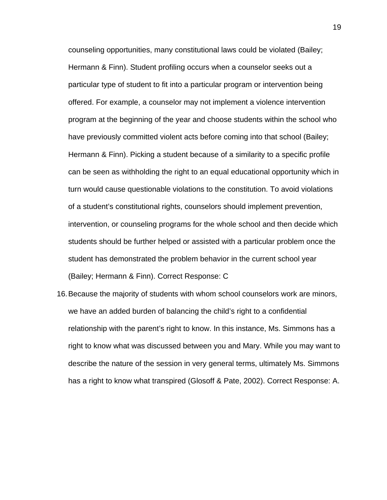counseling opportunities, many constitutional laws could be violated (Bailey; Hermann & Finn). Student profiling occurs when a counselor seeks out a particular type of student to fit into a particular program or intervention being offered. For example, a counselor may not implement a violence intervention program at the beginning of the year and choose students within the school who have previously committed violent acts before coming into that school (Bailey; Hermann & Finn). Picking a student because of a similarity to a specific profile can be seen as withholding the right to an equal educational opportunity which in turn would cause questionable violations to the constitution. To avoid violations of a student's constitutional rights, counselors should implement prevention, intervention, or counseling programs for the whole school and then decide which students should be further helped or assisted with a particular problem once the student has demonstrated the problem behavior in the current school year (Bailey; Hermann & Finn). Correct Response: C

16. Because the majority of students with whom school counselors work are minors, we have an added burden of balancing the child's right to a confidential relationship with the parent's right to know. In this instance, Ms. Simmons has a right to know what was discussed between you and Mary. While you may want to describe the nature of the session in very general terms, ultimately Ms. Simmons has a right to know what transpired (Glosoff & Pate, 2002). Correct Response: A.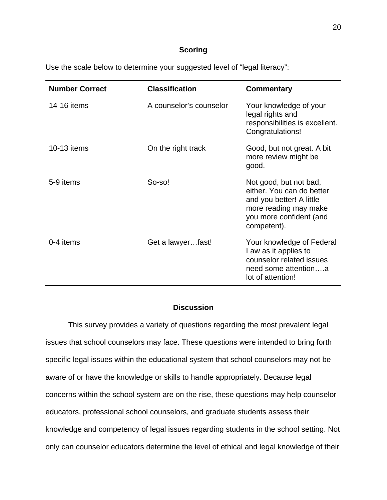## **Scoring**

Use the scale below to determine your suggested level of "legal literacy":

| <b>Number Correct</b> | <b>Classification</b>   | Commentary                                                                                                                                         |
|-----------------------|-------------------------|----------------------------------------------------------------------------------------------------------------------------------------------------|
| 14-16 items           | A counselor's counselor | Your knowledge of your<br>legal rights and<br>responsibilities is excellent.<br>Congratulations!                                                   |
| 10-13 items           | On the right track      | Good, but not great. A bit<br>more review might be<br>good.                                                                                        |
| 5-9 items             | So-so!                  | Not good, but not bad,<br>either. You can do better<br>and you better! A little<br>more reading may make<br>you more confident (and<br>competent). |
| 0-4 items             | Get a lawyerfast!       | Your knowledge of Federal<br>Law as it applies to<br>counselor related issues<br>need some attentiona<br>lot of attention!                         |

# **Discussion**

This survey provides a variety of questions regarding the most prevalent legal issues that school counselors may face. These questions were intended to bring forth specific legal issues within the educational system that school counselors may not be aware of or have the knowledge or skills to handle appropriately. Because legal concerns within the school system are on the rise, these questions may help counselor educators, professional school counselors, and graduate students assess their knowledge and competency of legal issues regarding students in the school setting. Not only can counselor educators determine the level of ethical and legal knowledge of their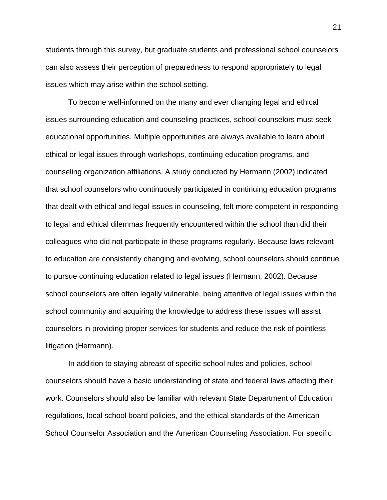students through this survey, but graduate students and professional school counselors can also assess their perception of preparedness to respond appropriately to legal issues which may arise within the school setting.

To become well-informed on the many and ever changing legal and ethical issues surrounding education and counseling practices, school counselors must seek educational opportunities. Multiple opportunities are always available to learn about ethical or legal issues through workshops, continuing education programs, and counseling organization affiliations. A study conducted by Hermann (2002) indicated that school counselors who continuously participated in continuing education programs that dealt with ethical and legal issues in counseling, felt more competent in responding to legal and ethical dilemmas frequently encountered within the school than did their colleagues who did not participate in these programs regularly. Because laws relevant to education are consistently changing and evolving, school counselors should continue to pursue continuing education related to legal issues (Hermann, 2002). Because school counselors are often legally vulnerable, being attentive of legal issues within the school community and acquiring the knowledge to address these issues will assist counselors in providing proper services for students and reduce the risk of pointless litigation (Hermann).

In addition to staying abreast of specific school rules and policies, school counselors should have a basic understanding of state and federal laws affecting their work. Counselors should also be familiar with relevant State Department of Education regulations, local school board policies, and the ethical standards of the American School Counselor Association and the American Counseling Association. For specific

21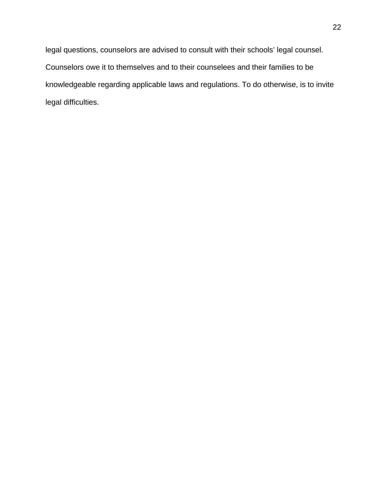legal questions, counselors are advised to consult with their schools' legal counsel. Counselors owe it to themselves and to their counselees and their families to be knowledgeable regarding applicable laws and regulations. To do otherwise, is to invite legal difficulties.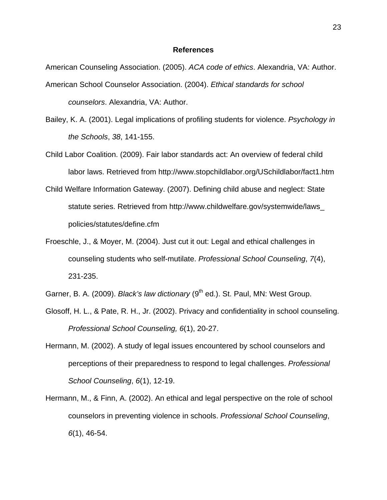### **References**

American Counseling Association. (2005). *ACA code of ethics*. Alexandria, VA: Author. American School Counselor Association. (2004). *Ethical standards for school counselors*. Alexandria, VA: Author.

- Bailey, K. A. (2001). Legal implications of profiling students for violence. *Psychology in the Schools*, *38*, 141-155.
- Child Labor Coalition. (2009). Fair labor standards act: An overview of federal child labor laws. Retrieved from http://www.stopchildlabor.org/USchildlabor/fact1.htm
- Child Welfare Information Gateway. (2007). Defining child abuse and neglect: State statute series. Retrieved from http://www.childwelfare.gov/systemwide/laws\_ policies/statutes/define.cfm
- Froeschle, J., & Moyer, M. (2004). Just cut it out: Legal and ethical challenges in counseling students who self-mutilate. *Professional School Counseling*, *7*(4), 231-235.
- Garner, B. A. (2009). *Black's law dictionary* (9<sup>th</sup> ed.). St. Paul, MN: West Group.
- Glosoff, H. L., & Pate, R. H., Jr. (2002). Privacy and confidentiality in school counseling. *Professional School Counseling, 6*(1), 20-27.
- Hermann, M. (2002). A study of legal issues encountered by school counselors and perceptions of their preparedness to respond to legal challenges. *Professional School Counseling*, *6*(1), 12-19.
- Hermann, M., & Finn, A. (2002). An ethical and legal perspective on the role of school counselors in preventing violence in schools. *Professional School Counseling*, *6*(1), 46-54.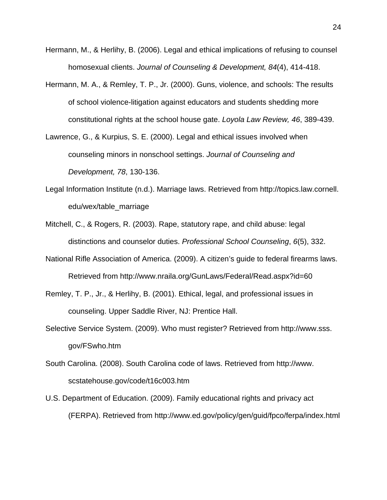- Hermann, M., & Herlihy, B. (2006). Legal and ethical implications of refusing to counsel homosexual clients. *Journal of Counseling & Development, 84*(4), 414-418.
- Hermann, M. A., & Remley, T. P., Jr. (2000). Guns, violence, and schools: The results of school violence-litigation against educators and students shedding more constitutional rights at the school house gate. *Loyola Law Review, 46*, 389-439.
- Lawrence, G., & Kurpius, S. E. (2000). Legal and ethical issues involved when counseling minors in nonschool settings. *Journal of Counseling and Development, 78*, 130-136.
- Legal Information Institute (n.d.). Marriage laws. Retrieved from http://topics.law.cornell. edu/wex/table\_marriage
- Mitchell, C., & Rogers, R. (2003). Rape, statutory rape, and child abuse: legal distinctions and counselor duties. *Professional School Counseling*, *6*(5), 332.
- National Rifle Association of America. (2009). A citizen's guide to federal firearms laws. Retrieved from http://www.nraila.org/GunLaws/Federal/Read.aspx?id=60
- Remley, T. P., Jr., & Herlihy, B. (2001). Ethical, legal, and professional issues in counseling. Upper Saddle River, NJ: Prentice Hall.
- Selective Service System. (2009). Who must register? Retrieved from http://www.sss. gov/FSwho.htm
- South Carolina. (2008). South Carolina code of laws. Retrieved from http://www. scstatehouse.gov/code/t16c003.htm
- U.S. Department of Education. (2009). Family educational rights and privacy act (FERPA). Retrieved from http://www.ed.gov/policy/gen/guid/fpco/ferpa/index.html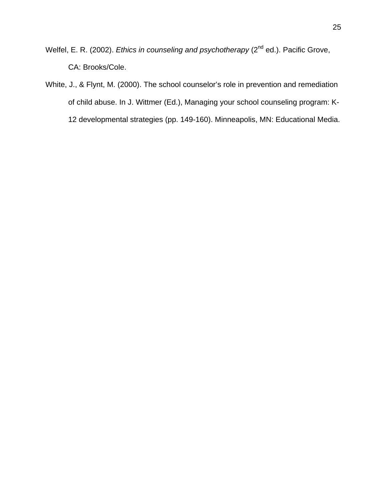Welfel, E. R. (2002). *Ethics in counseling and psychotherapy* (2<sup>nd</sup> ed.). Pacific Grove, CA: Brooks/Cole.

White, J., & Flynt, M. (2000). The school counselor's role in prevention and remediation of child abuse. In J. Wittmer (Ed.), Managing your school counseling program: K-12 developmental strategies (pp. 149-160). Minneapolis, MN: Educational Media.